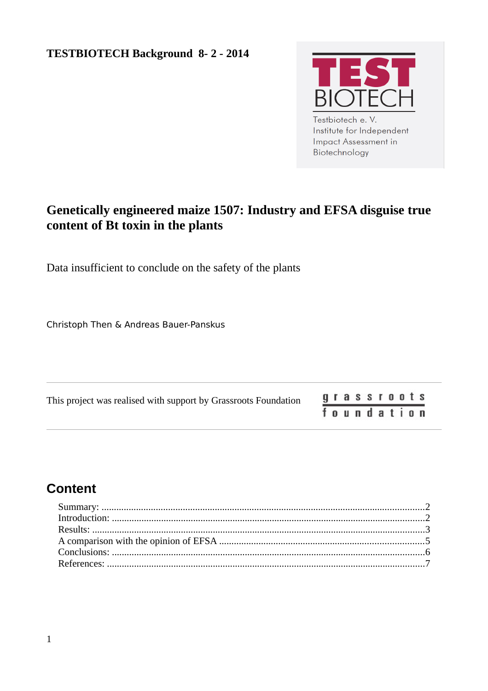

**Impact Assessment in** Biotechnology

# **Genetically engineered maize 1507: Industry and EFSA disguise true content of Bt toxin in the plants**

Data insufficient to conclude on the safety of the plants

Christoph Then & Andreas Bauer-Panskus

| This project was realised with support by Grassroots Foundation |            |  |  |  |  | grassroots |  |
|-----------------------------------------------------------------|------------|--|--|--|--|------------|--|
|                                                                 | foundation |  |  |  |  |            |  |

# **Content**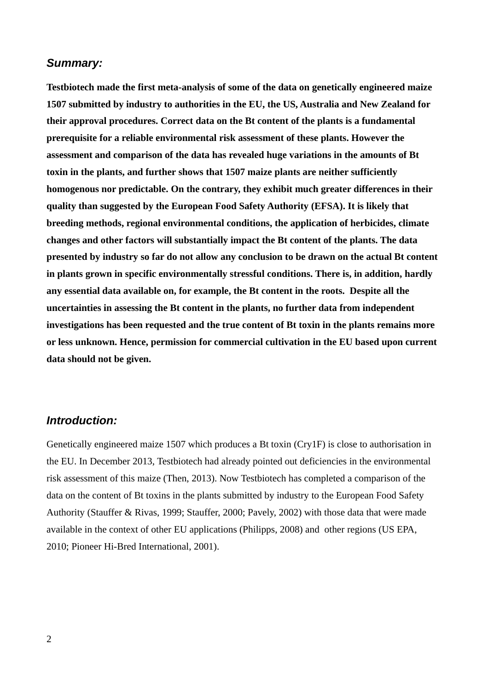#### <span id="page-1-1"></span>*Summary:*

**Testbiotech made the first meta-analysis of some of the data on genetically engineered maize 1507 submitted by industry to authorities in the EU, the US, Australia and New Zealand for their approval procedures. Correct data on the Bt content of the plants is a fundamental prerequisite for a reliable environmental risk assessment of these plants. However the assessment and comparison of the data has revealed huge variations in the amounts of Bt toxin in the plants, and further shows that 1507 maize plants are neither sufficiently homogenous nor predictable. On the contrary, they exhibit much greater differences in their quality than suggested by the European Food Safety Authority (EFSA). It is likely that breeding methods, regional environmental conditions, the application of herbicides, climate changes and other factors will substantially impact the Bt content of the plants. The data presented by industry so far do not allow any conclusion to be drawn on the actual Bt content in plants grown in specific environmentally stressful conditions. There is, in addition, hardly any essential data available on, for example, the Bt content in the roots. Despite all the uncertainties in assessing the Bt content in the plants, no further data from independent investigations has been requested and the true content of Bt toxin in the plants remains more or less unknown. Hence, permission for commercial cultivation in the EU based upon current data should not be given.** 

### <span id="page-1-0"></span>*Introduction:*

Genetically engineered maize 1507 which produces a Bt toxin (Cry1F) is close to authorisation in the EU. In December 2013, Testbiotech had already pointed out deficiencies in the environmental risk assessment of this maize (Then, 2013). Now Testbiotech has completed a comparison of the data on the content of Bt toxins in the plants submitted by industry to the European Food Safety Authority (Stauffer & Rivas, 1999; Stauffer, 2000; Pavely, 2002) with those data that were made available in the context of other EU applications (Philipps, 2008) and other regions (US EPA, 2010; Pioneer Hi-Bred International, 2001).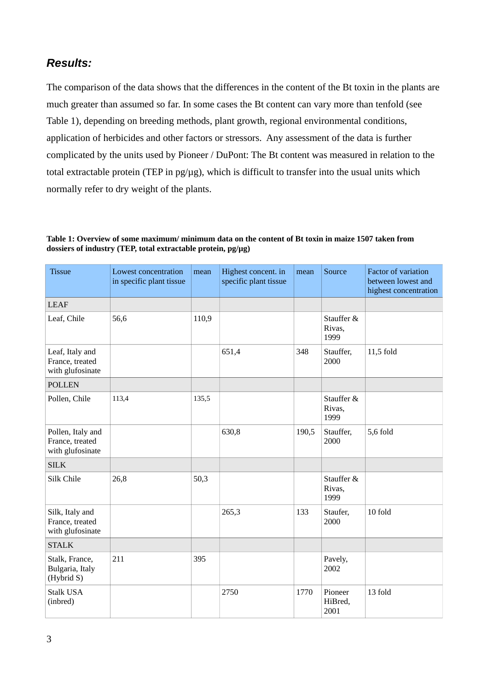### <span id="page-2-0"></span>*Results:*

The comparison of the data shows that the differences in the content of the Bt toxin in the plants are much greater than assumed so far. In some cases the Bt content can vary more than tenfold (see Table 1), depending on breeding methods, plant growth, regional environmental conditions, application of herbicides and other factors or stressors. Any assessment of the data is further complicated by the units used by Pioneer / DuPont: The Bt content was measured in relation to the total extractable protein (TEP in pg/µg), which is difficult to transfer into the usual units which normally refer to dry weight of the plants.

#### **Table 1: Overview of some maximum/ minimum data on the content of Bt toxin in maize 1507 taken from dossiers of industry (TEP, total extractable protein, pg/µg)**

| <b>Tissue</b>                                            | Lowest concentration<br>in specific plant tissue | mean  | Highest concent. in<br>specific plant tissue | mean  | Source                       | Factor of variation<br>between lowest and<br>highest concentration |  |
|----------------------------------------------------------|--------------------------------------------------|-------|----------------------------------------------|-------|------------------------------|--------------------------------------------------------------------|--|
| <b>LEAF</b>                                              |                                                  |       |                                              |       |                              |                                                                    |  |
| Leaf, Chile                                              | 56,6                                             | 110,9 |                                              |       | Stauffer &<br>Rivas,<br>1999 |                                                                    |  |
| Leaf, Italy and<br>France, treated<br>with glufosinate   |                                                  |       | 651,4                                        | 348   | Stauffer,<br>2000            | 11,5 fold                                                          |  |
| <b>POLLEN</b>                                            |                                                  |       |                                              |       |                              |                                                                    |  |
| Pollen, Chile                                            | 113,4                                            | 135,5 |                                              |       | Stauffer &<br>Rivas,<br>1999 |                                                                    |  |
| Pollen, Italy and<br>France, treated<br>with glufosinate |                                                  |       | 630,8                                        | 190,5 | Stauffer,<br>2000            | 5,6 fold                                                           |  |
| <b>SILK</b>                                              |                                                  |       |                                              |       |                              |                                                                    |  |
| Silk Chile                                               | 26,8                                             | 50,3  |                                              |       | Stauffer &<br>Rivas,<br>1999 |                                                                    |  |
| Silk, Italy and<br>France, treated<br>with glufosinate   |                                                  |       | 265,3                                        | 133   | Staufer,<br>2000             | 10 fold                                                            |  |
| <b>STALK</b>                                             |                                                  |       |                                              |       |                              |                                                                    |  |
| Stalk, France,<br>Bulgaria, Italy<br>(Hybrid S)          | 211                                              | 395   |                                              |       | Pavely,<br>2002              |                                                                    |  |
| Stalk USA<br>(inbred)                                    |                                                  |       | 2750                                         | 1770  | Pioneer<br>HiBred,<br>2001   | 13 fold                                                            |  |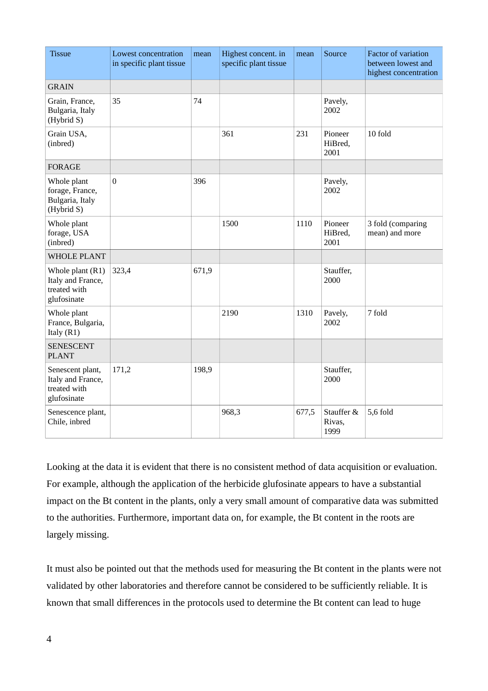| <b>Tissue</b>                                                          | Lowest concentration<br>in specific plant tissue | mean  | Highest concent. in<br>specific plant tissue | mean  | Source                       | Factor of variation<br>between lowest and<br>highest concentration |
|------------------------------------------------------------------------|--------------------------------------------------|-------|----------------------------------------------|-------|------------------------------|--------------------------------------------------------------------|
| <b>GRAIN</b>                                                           |                                                  |       |                                              |       |                              |                                                                    |
| Grain, France,<br>Bulgaria, Italy<br>(Hybrid S)                        | 35                                               | 74    |                                              |       | Pavely,<br>2002              |                                                                    |
| Grain USA,<br>(inbred)                                                 |                                                  |       | 361                                          | 231   | Pioneer<br>HiBred,<br>2001   | 10 fold                                                            |
| FORAGE                                                                 |                                                  |       |                                              |       |                              |                                                                    |
| Whole plant<br>forage, France,<br>Bulgaria, Italy<br>(Hybrid S)        | $\boldsymbol{0}$                                 | 396   |                                              |       | Pavely,<br>2002              |                                                                    |
| Whole plant<br>forage, USA<br>(inbred)                                 |                                                  |       | 1500                                         | 1110  | Pioneer<br>HiBred,<br>2001   | 3 fold (comparing<br>mean) and more                                |
| <b>WHOLE PLANT</b>                                                     |                                                  |       |                                              |       |                              |                                                                    |
| Whole plant $(R1)$<br>Italy and France,<br>treated with<br>glufosinate | 323,4                                            | 671,9 |                                              |       | Stauffer,<br>2000            |                                                                    |
| Whole plant<br>France, Bulgaria,<br>Italy $(R1)$                       |                                                  |       | 2190                                         | 1310  | Pavely,<br>2002              | 7 fold                                                             |
| <b>SENESCENT</b><br><b>PLANT</b>                                       |                                                  |       |                                              |       |                              |                                                                    |
| Senescent plant,<br>Italy and France,<br>treated with<br>glufosinate   | 171,2                                            | 198,9 |                                              |       | Stauffer,<br>2000            |                                                                    |
| Senescence plant,<br>Chile, inbred                                     |                                                  |       | 968,3                                        | 677,5 | Stauffer &<br>Rivas,<br>1999 | 5,6 fold                                                           |

Looking at the data it is evident that there is no consistent method of data acquisition or evaluation. For example, although the application of the herbicide glufosinate appears to have a substantial impact on the Bt content in the plants, only a very small amount of comparative data was submitted to the authorities. Furthermore, important data on, for example, the Bt content in the roots are largely missing.

It must also be pointed out that the methods used for measuring the Bt content in the plants were not validated by other laboratories and therefore cannot be considered to be sufficiently reliable. It is known that small differences in the protocols used to determine the Bt content can lead to huge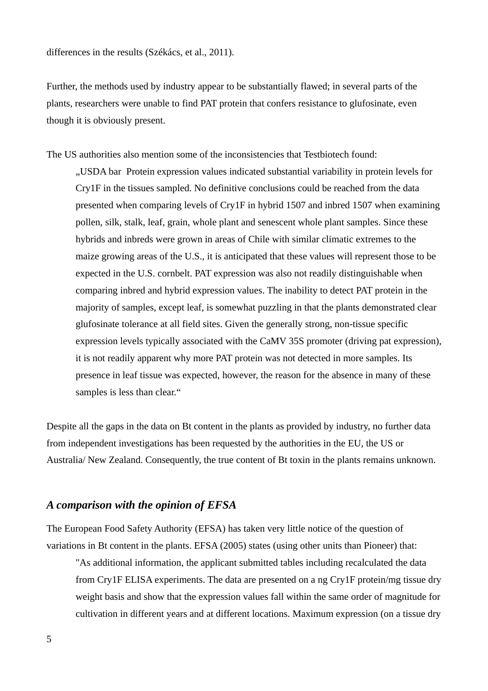differences in the results (Székács, et al., 2011).

Further, the methods used by industry appear to be substantially flawed; in several parts of the plants, researchers were unable to find PAT protein that confers resistance to glufosinate, even though it is obviously present.

The US authorities also mention some of the inconsistencies that Testbiotech found: "USDA bar Protein expression values indicated substantial variability in protein levels for Cry1F in the tissues sampled. No definitive conclusions could be reached from the data presented when comparing levels of Cry1F in hybrid 1507 and inbred 1507 when examining pollen, silk, stalk, leaf, grain, whole plant and senescent whole plant samples. Since these hybrids and inbreds were grown in areas of Chile with similar climatic extremes to the maize growing areas of the U.S., it is anticipated that these values will represent those to be expected in the U.S. cornbelt. PAT expression was also not readily distinguishable when comparing inbred and hybrid expression values. The inability to detect PAT protein in the majority of samples, except leaf, is somewhat puzzling in that the plants demonstrated clear glufosinate tolerance at all field sites. Given the generally strong, non-tissue specific expression levels typically associated with the CaMV 35S promoter (driving pat expression), it is not readily apparent why more PAT protein was not detected in more samples. Its presence in leaf tissue was expected, however, the reason for the absence in many of these samples is less than clear."

Despite all the gaps in the data on Bt content in the plants as provided by industry, no further data from independent investigations has been requested by the authorities in the EU, the US or Australia/ New Zealand. Consequently, the true content of Bt toxin in the plants remains unknown.

#### <span id="page-4-0"></span>*A comparison with the opinion of EFSA*

The European Food Safety Authority (EFSA) has taken very little notice of the question of variations in Bt content in the plants. EFSA (2005) states (using other units than Pioneer) that:

"As additional information, the applicant submitted tables including recalculated the data from Cry1F ELISA experiments. The data are presented on a ng Cry1F protein/mg tissue dry weight basis and show that the expression values fall within the same order of magnitude for cultivation in different years and at different locations. Maximum expression (on a tissue dry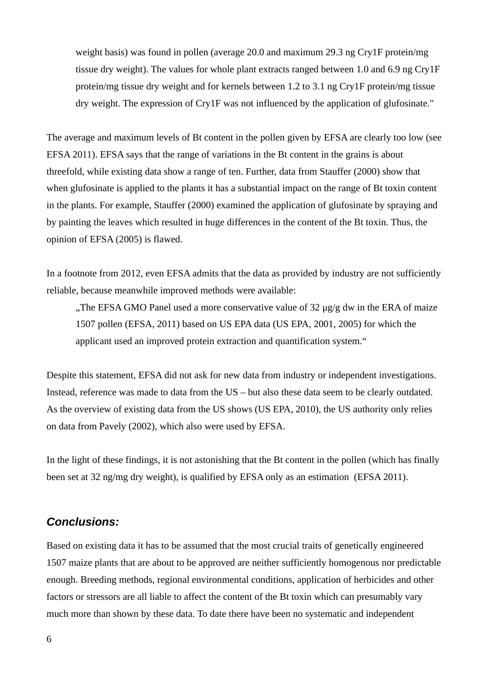weight basis) was found in pollen (average 20.0 and maximum 29.3 ng Cry1F protein/mg tissue dry weight). The values for whole plant extracts ranged between 1.0 and 6.9 ng Cry1F protein/mg tissue dry weight and for kernels between 1.2 to 3.1 ng Cry1F protein/mg tissue dry weight. The expression of Cry1F was not influenced by the application of glufosinate."

The average and maximum levels of Bt content in the pollen given by EFSA are clearly too low (see EFSA 2011). EFSA says that the range of variations in the Bt content in the grains is about threefold, while existing data show a range of ten. Further, data from Stauffer (2000) show that when glufosinate is applied to the plants it has a substantial impact on the range of Bt toxin content in the plants. For example, Stauffer (2000) examined the application of glufosinate by spraying and by painting the leaves which resulted in huge differences in the content of the Bt toxin. Thus, the opinion of EFSA (2005) is flawed.

In a footnote from 2012, even EFSA admits that the data as provided by industry are not sufficiently reliable, because meanwhile improved methods were available:

"The EFSA GMO Panel used a more conservative value of 32 µg/g dw in the ERA of maize 1507 pollen (EFSA, 2011) based on US EPA data (US EPA, 2001, 2005) for which the applicant used an improved protein extraction and quantification system."

Despite this statement, EFSA did not ask for new data from industry or independent investigations. Instead, reference was made to data from the US – but also these data seem to be clearly outdated. As the overview of existing data from the US shows (US EPA, 2010), the US authority only relies on data from Pavely (2002), which also were used by EFSA.

In the light of these findings, it is not astonishing that the Bt content in the pollen (which has finally been set at 32 ng/mg dry weight), is qualified by EFSA only as an estimation (EFSA 2011).

### <span id="page-5-0"></span>*Conclusions:*

Based on existing data it has to be assumed that the most crucial traits of genetically engineered 1507 maize plants that are about to be approved are neither sufficiently homogenous nor predictable enough. Breeding methods, regional environmental conditions, application of herbicides and other factors or stressors are all liable to affect the content of the Bt toxin which can presumably vary much more than shown by these data. To date there have been no systematic and independent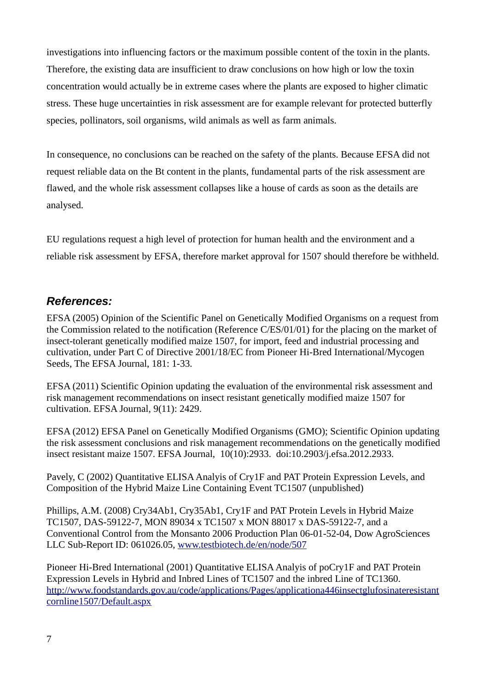investigations into influencing factors or the maximum possible content of the toxin in the plants. Therefore, the existing data are insufficient to draw conclusions on how high or low the toxin concentration would actually be in extreme cases where the plants are exposed to higher climatic stress. These huge uncertainties in risk assessment are for example relevant for protected butterfly species, pollinators, soil organisms, wild animals as well as farm animals.

In consequence, no conclusions can be reached on the safety of the plants. Because EFSA did not request reliable data on the Bt content in the plants, fundamental parts of the risk assessment are flawed, and the whole risk assessment collapses like a house of cards as soon as the details are analysed.

EU regulations request a high level of protection for human health and the environment and a reliable risk assessment by EFSA, therefore market approval for 1507 should therefore be withheld.

## <span id="page-6-0"></span>*References:*

EFSA (2005) Opinion of the Scientific Panel on Genetically Modified Organisms on a request from the Commission related to the notification (Reference C/ES/01/01) for the placing on the market of insect-tolerant genetically modified maize 1507, for import, feed and industrial processing and cultivation, under Part C of Directive 2001/18/EC from Pioneer Hi-Bred International/Mycogen Seeds, The EFSA Journal, 181: 1-33.

EFSA (2011) Scientific Opinion updating the evaluation of the environmental risk assessment and risk management recommendations on insect resistant genetically modified maize 1507 for cultivation. EFSA Journal, 9(11): 2429.

EFSA (2012) EFSA Panel on Genetically Modified Organisms (GMO); Scientific Opinion updating the risk assessment conclusions and risk management recommendations on the genetically modified insect resistant maize 1507. EFSA Journal, 10(10):2933. doi:10.2903/j.efsa.2012.2933.

Pavely, C (2002) Quantitative ELISA Analyis of Cry1F and PAT Protein Expression Levels, and Composition of the Hybrid Maize Line Containing Event TC1507 (unpublished)

Phillips, A.M. (2008) Cry34Ab1, Cry35Ab1, Cry1F and PAT Protein Levels in Hybrid Maize TC1507, DAS-59122-7, MON 89034 x TC1507 x MON 88017 x DAS-59122-7, and a Conventional Control from the Monsanto 2006 Production Plan 06-01-52-04, Dow AgroSciences LLC Sub-Report ID: 061026.05, [www.testbiotech.de/en/node/507](http://www.testbiotech.de/en/node/507)

Pioneer Hi-Bred International (2001) Quantitative ELISA Analyis of poCry1F and PAT Protein Expression Levels in Hybrid and Inbred Lines of TC1507 and the inbred Line of TC1360. [http://www.foodstandards.gov.au/code/applications/Pages/applicationa446insectglufosinateresistant](http://www.foodstandards.gov.au/code/applications/Pages/applicationa446insectglufosinateresistantcornline1507/Default.aspx) [cornline1507/Default.aspx](http://www.foodstandards.gov.au/code/applications/Pages/applicationa446insectglufosinateresistantcornline1507/Default.aspx)